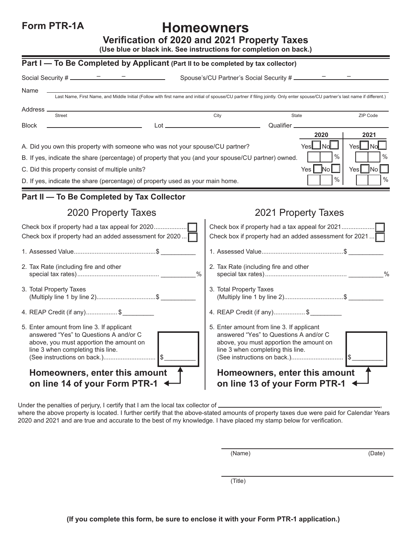**Form PTR-1A**

## **Homeowners**

**Verification of 2020 and 2021 Property Taxes**

**(Use blue or black ink. See instructions for completion on back.)**

| Part I - To Be Completed by Applicant (Part II to be completed by tax collector)                                                                                                                     |               |                                                                                                                                                                                                                                     |             |               |                   |
|------------------------------------------------------------------------------------------------------------------------------------------------------------------------------------------------------|---------------|-------------------------------------------------------------------------------------------------------------------------------------------------------------------------------------------------------------------------------------|-------------|---------------|-------------------|
| Social Security # $\frac{\qquad -\qquad -\qquad -\qquad}$<br><u> 1990 - Johann Barbara, p</u> ersonal                                                                                                |               |                                                                                                                                                                                                                                     |             |               |                   |
| Name<br>Last Name, First Name, and Middle Initial (Follow with first name and initial of spouse/CU partner if filing jointly. Only enter spouse/CU partner's last name if different.)                |               |                                                                                                                                                                                                                                     |             |               |                   |
| Address.                                                                                                                                                                                             |               |                                                                                                                                                                                                                                     |             |               |                   |
| <b>Street</b>                                                                                                                                                                                        |               | City                                                                                                                                                                                                                                | State       |               | ZIP Code          |
| <b>Block</b><br>$Lot =$                                                                                                                                                                              |               |                                                                                                                                                                                                                                     | Qualifier _ | 2020          | 2021              |
| A. Did you own this property with someone who was not your spouse/CU partner?                                                                                                                        |               |                                                                                                                                                                                                                                     | Yesl        | <b>No</b>     | YesL<br><b>No</b> |
| $\frac{0}{0}$<br>B. If yes, indicate the share (percentage) of property that you (and your spouse/CU partner) owned.                                                                                 |               |                                                                                                                                                                                                                                     |             |               | %                 |
| C. Did this property consist of multiple units?                                                                                                                                                      |               |                                                                                                                                                                                                                                     | Yes I       | $\mathsf{No}$ | Yes<br>INo.       |
| D. If yes, indicate the share (percentage) of property used as your main home.                                                                                                                       |               |                                                                                                                                                                                                                                     |             | $\%$          | $\%$              |
| Part II - To Be Completed by Tax Collector                                                                                                                                                           |               |                                                                                                                                                                                                                                     |             |               |                   |
| 2020 Property Taxes                                                                                                                                                                                  |               | 2021 Property Taxes                                                                                                                                                                                                                 |             |               |                   |
| Check box if property had a tax appeal for 2020<br>Check box if property had an added assessment for 2020                                                                                            |               | Check box if property had a tax appeal for 2021<br>Check box if property had an added assessment for 2021                                                                                                                           |             |               |                   |
|                                                                                                                                                                                                      |               |                                                                                                                                                                                                                                     |             |               |                   |
| 2. Tax Rate (including fire and other                                                                                                                                                                | $\frac{0}{0}$ | 2. Tax Rate (including fire and other<br>$\frac{0}{0}$                                                                                                                                                                              |             |               |                   |
| 3. Total Property Taxes<br>(Multiply line 1 by line 2)\$                                                                                                                                             |               | 3. Total Property Taxes<br>(Multiply line 1 by line 2)\$                                                                                                                                                                            |             |               |                   |
| 4. REAP Credit (if any)\$                                                                                                                                                                            |               | 4. REAP Credit (if any)\$                                                                                                                                                                                                           |             |               |                   |
| 5. Enter amount from line 3. If applicant<br>answered "Yes" to Questions A and/or C<br>above, you must apportion the amount on<br>line 3 when completing this line.<br>Homeowners, enter this amount |               | 5. Enter amount from line 3. If applicant<br>answered "Yes" to Questions A and/or C<br>above, you must apportion the amount on<br>line 3 when completing this line.<br>(See instructions on back.)<br>Homeowners, enter this amount |             |               | <b>IS</b>         |
| on line 14 of your Form PTR-1                                                                                                                                                                        |               | on line 13 of your Form PTR-1                                                                                                                                                                                                       |             |               |                   |

Under the penalties of perjury, I certify that I am the local tax collector of  $\equiv$ 

where the above property is located. I further certify that the above-stated amounts of property taxes due were paid for Calendar Years 2020 and 2021 and are true and accurate to the best of my knowledge. I have placed my stamp below for verification.

(Name) (Date)

(Title)